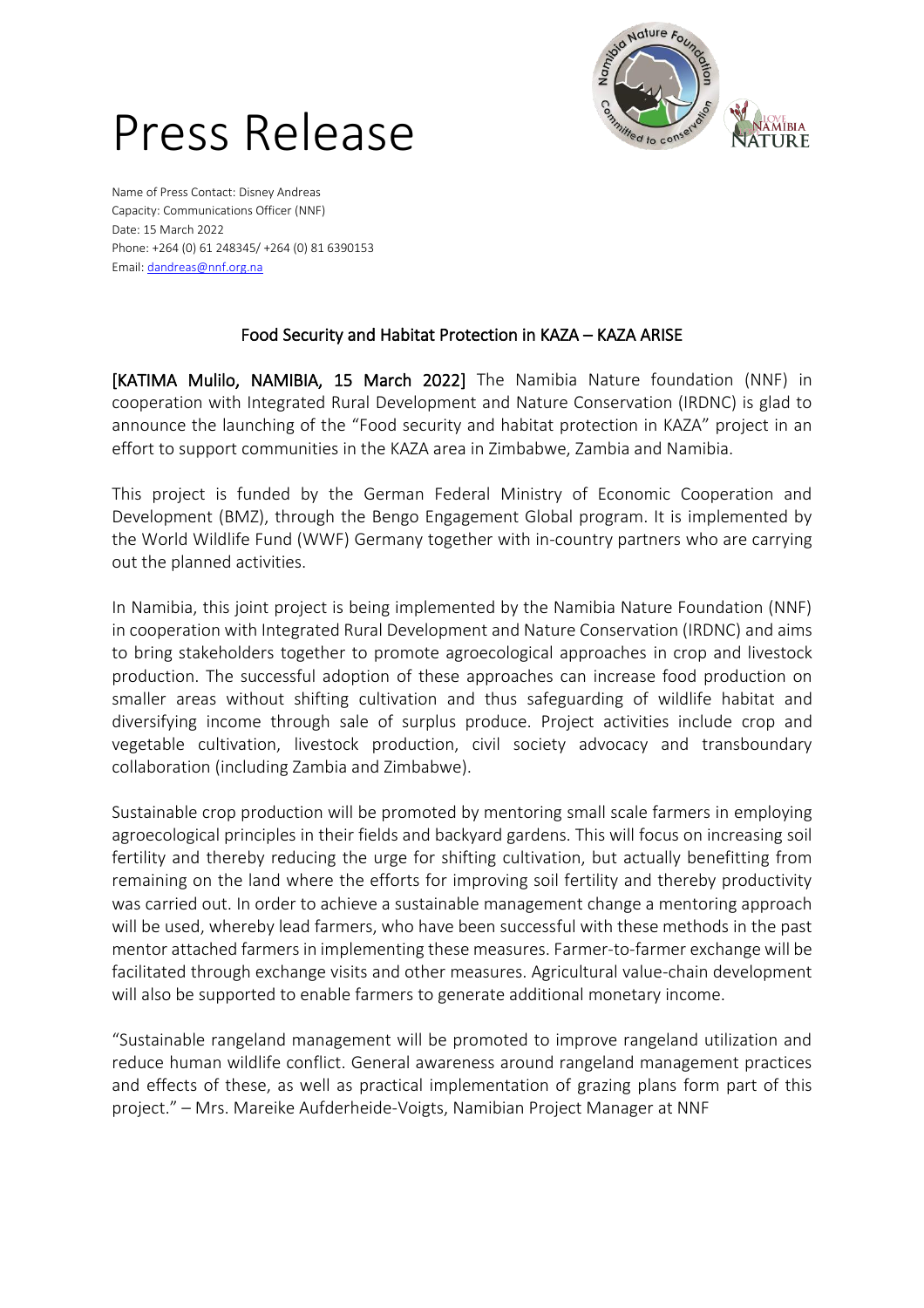

## Press Release

Name of Press Contact: Disney Andreas Capacity: Communications Officer (NNF) Date: 15 March 2022 Phone: +264 (0) 61 248345/ +264 (0) 81 6390153 Email: [dandreas@nnf.org.na](mailto:dandreas@nnf.org.na)

## Food Security and Habitat Protection in KAZA – KAZA ARISE

[KATIMA Mulilo, NAMIBIA, 15 March 2022] The Namibia Nature foundation (NNF) in cooperation with Integrated Rural Development and Nature Conservation (IRDNC) is glad to announce the launching of the "Food security and habitat protection in KAZA" project in an effort to support communities in the KAZA area in Zimbabwe, Zambia and Namibia.

This project is funded by the German Federal Ministry of Economic Cooperation and Development (BMZ), through the Bengo Engagement Global program. It is implemented by the World Wildlife Fund (WWF) Germany together with in-country partners who are carrying out the planned activities.

In Namibia, this joint project is being implemented by the Namibia Nature Foundation (NNF) in cooperation with Integrated Rural Development and Nature Conservation (IRDNC) and aims to bring stakeholders together to promote agroecological approaches in crop and livestock production. The successful adoption of these approaches can increase food production on smaller areas without shifting cultivation and thus safeguarding of wildlife habitat and diversifying income through sale of surplus produce. Project activities include crop and vegetable cultivation, livestock production, civil society advocacy and transboundary collaboration (including Zambia and Zimbabwe).

Sustainable crop production will be promoted by mentoring small scale farmers in employing agroecological principles in their fields and backyard gardens. This will focus on increasing soil fertility and thereby reducing the urge for shifting cultivation, but actually benefitting from remaining on the land where the efforts for improving soil fertility and thereby productivity was carried out. In order to achieve a sustainable management change a mentoring approach will be used, whereby lead farmers, who have been successful with these methods in the past mentor attached farmers in implementing these measures. Farmer-to-farmer exchange will be facilitated through exchange visits and other measures. Agricultural value-chain development will also be supported to enable farmers to generate additional monetary income.

"Sustainable rangeland management will be promoted to improve rangeland utilization and reduce human wildlife conflict. General awareness around rangeland management practices and effects of these, as well as practical implementation of grazing plans form part of this project." – Mrs. Mareike Aufderheide-Voigts, Namibian Project Manager at NNF